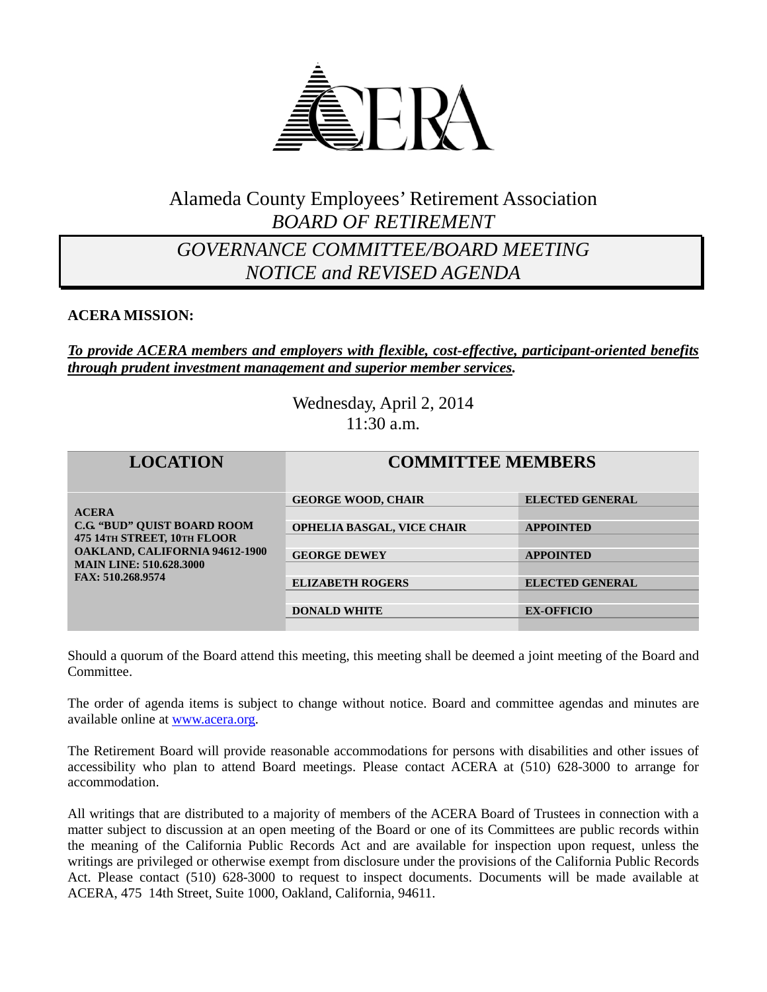

## Alameda County Employees' Retirement Association *BOARD OF RETIREMENT*

## *GOVERNANCE COMMITTEE/BOARD MEETING NOTICE and REVISED AGENDA*

#### **ACERA MISSION:**

#### *To provide ACERA members and employers with flexible, cost-effective, participant-oriented benefits through prudent investment management and superior member services.*

Wednesday, April 2, 2014 11:30 a.m.

| <b>LOCATION</b>                                                                                                                                                                   | <b>COMMITTEE MEMBERS</b>          |                        |
|-----------------------------------------------------------------------------------------------------------------------------------------------------------------------------------|-----------------------------------|------------------------|
| <b>ACERA</b><br><b>C.G. "BUD" OUIST BOARD ROOM</b><br>475 14TH STREET, 10TH FLOOR<br><b>OAKLAND, CALIFORNIA 94612-1900</b><br><b>MAIN LINE: 510.628.3000</b><br>FAX: 510.268.9574 | <b>GEORGE WOOD, CHAIR</b>         | <b>ELECTED GENERAL</b> |
|                                                                                                                                                                                   | <b>OPHELIA BASGAL, VICE CHAIR</b> | <b>APPOINTED</b>       |
|                                                                                                                                                                                   | <b>GEORGE DEWEY</b>               | <b>APPOINTED</b>       |
|                                                                                                                                                                                   | <b>ELIZABETH ROGERS</b>           | <b>ELECTED GENERAL</b> |
|                                                                                                                                                                                   | <b>DONALD WHITE</b>               | <b>EX-OFFICIO</b>      |

Should a quorum of the Board attend this meeting, this meeting shall be deemed a joint meeting of the Board and Committee.

The order of agenda items is subject to change without notice. Board and committee agendas and minutes are available online at [www.acera.org.](http://www.acera.org/)

The Retirement Board will provide reasonable accommodations for persons with disabilities and other issues of accessibility who plan to attend Board meetings. Please contact ACERA at (510) 628-3000 to arrange for accommodation.

All writings that are distributed to a majority of members of the ACERA Board of Trustees in connection with a matter subject to discussion at an open meeting of the Board or one of its Committees are public records within the meaning of the California Public Records Act and are available for inspection upon request, unless the writings are privileged or otherwise exempt from disclosure under the provisions of the California Public Records Act. Please contact (510) 628-3000 to request to inspect documents. Documents will be made available at ACERA, 475 14th Street, Suite 1000, Oakland, California, 94611.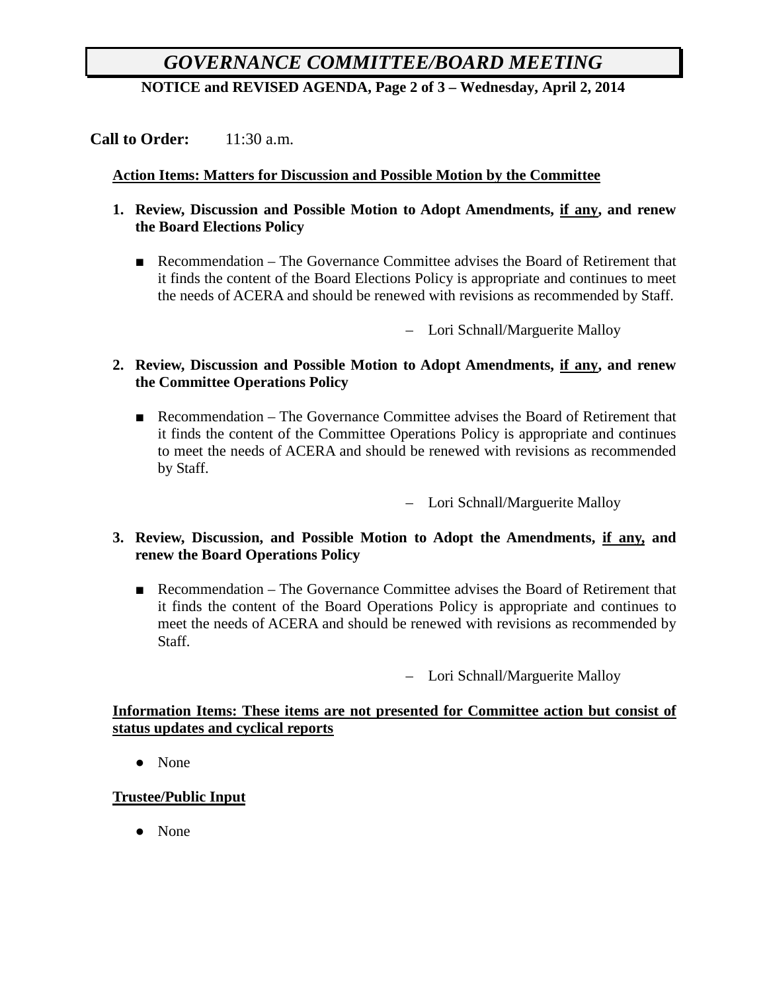# *GOVERNANCE COMMITTEE/BOARD MEETING*

**NOTICE and REVISED AGENDA, Page 2 of 3 – Wednesday, April 2, 2014**

**Call to Order:** 11:30 a.m.

#### **Action Items: Matters for Discussion and Possible Motion by the Committee**

- **1. Review, Discussion and Possible Motion to Adopt Amendments, if any, and renew the Board Elections Policy**
	- Recommendation The Governance Committee advises the Board of Retirement that it finds the content of the Board Elections Policy is appropriate and continues to meet the needs of ACERA and should be renewed with revisions as recommended by Staff.

– Lori Schnall/Marguerite Malloy

- **2. Review, Discussion and Possible Motion to Adopt Amendments, if any, and renew the Committee Operations Policy**
	- Recommendation The Governance Committee advises the Board of Retirement that it finds the content of the Committee Operations Policy is appropriate and continues to meet the needs of ACERA and should be renewed with revisions as recommended by Staff.

– Lori Schnall/Marguerite Malloy

- **3. Review, Discussion, and Possible Motion to Adopt the Amendments, if any, and renew the Board Operations Policy**
	- Recommendation The Governance Committee advises the Board of Retirement that it finds the content of the Board Operations Policy is appropriate and continues to meet the needs of ACERA and should be renewed with revisions as recommended by Staff.

– Lori Schnall/Marguerite Malloy

#### **Information Items: These items are not presented for Committee action but consist of status updates and cyclical reports**

● None

### **Trustee/Public Input**

● None